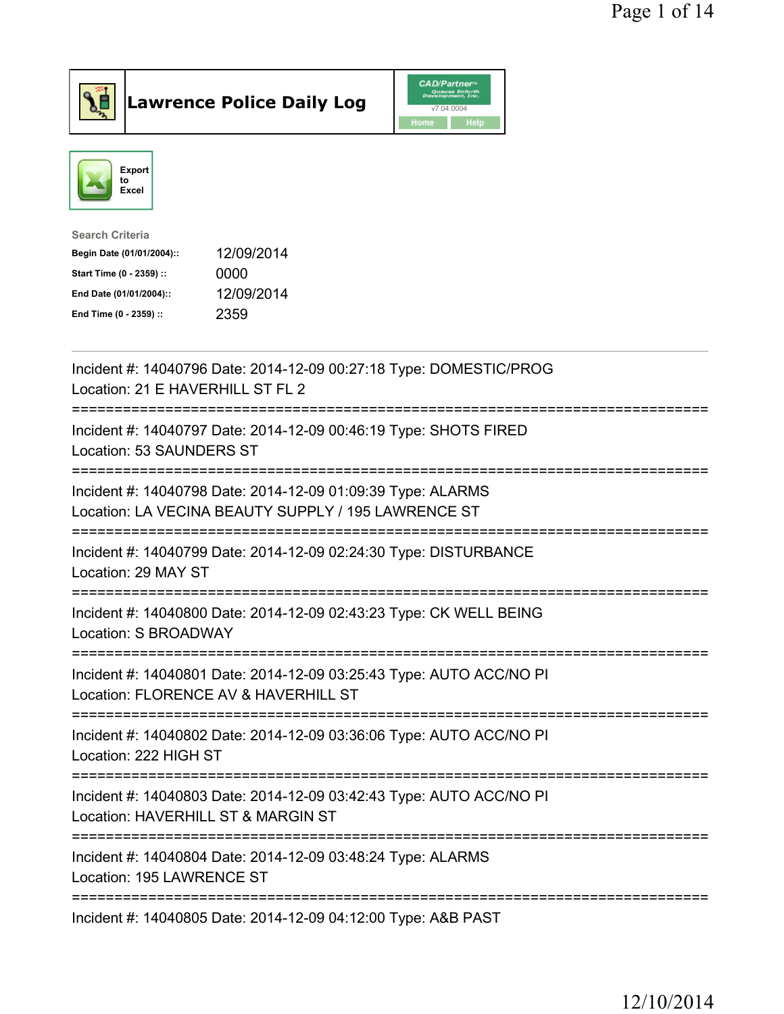

Lawrence Police Daily Log CAD/Partner



| <b>Search Criteria</b>    |            |
|---------------------------|------------|
| Begin Date (01/01/2004):: | 12/09/2014 |
| Start Time (0 - 2359) ::  | 0000       |
| End Date (01/01/2004)::   | 12/09/2014 |
| End Time (0 - 2359) ::    | 2359       |
|                           |            |

| Incident #: 14040796 Date: 2014-12-09 00:27:18 Type: DOMESTIC/PROG<br>Location: 21 E HAVERHILL ST FL 2                |
|-----------------------------------------------------------------------------------------------------------------------|
| Incident #: 14040797 Date: 2014-12-09 00:46:19 Type: SHOTS FIRED<br>Location: 53 SAUNDERS ST                          |
| Incident #: 14040798 Date: 2014-12-09 01:09:39 Type: ALARMS<br>Location: LA VECINA BEAUTY SUPPLY / 195 LAWRENCE ST    |
| Incident #: 14040799 Date: 2014-12-09 02:24:30 Type: DISTURBANCE<br>Location: 29 MAY ST                               |
| Incident #: 14040800 Date: 2014-12-09 02:43:23 Type: CK WELL BEING<br>Location: S BROADWAY                            |
| Incident #: 14040801 Date: 2014-12-09 03:25:43 Type: AUTO ACC/NO PI<br>Location: FLORENCE AV & HAVERHILL ST           |
| Incident #: 14040802 Date: 2014-12-09 03:36:06 Type: AUTO ACC/NO PI<br>Location: 222 HIGH ST<br>===================== |
| Incident #: 14040803 Date: 2014-12-09 03:42:43 Type: AUTO ACC/NO PI<br>Location: HAVERHILL ST & MARGIN ST             |
| Incident #: 14040804 Date: 2014-12-09 03:48:24 Type: ALARMS<br>Location: 195 LAWRENCE ST                              |
| Incident #: 14040805 Date: 2014-12-09 04:12:00 Type: A&B PAST                                                         |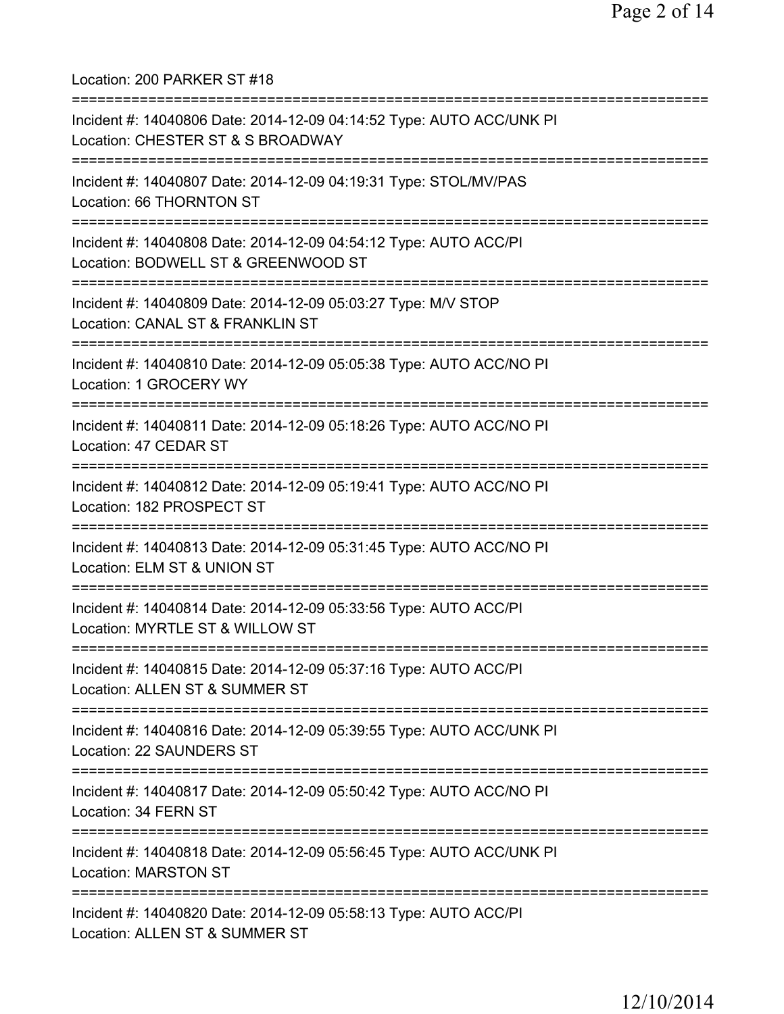Location: 200 PARKER ST #18 =========================================================================== Incident #: 14040806 Date: 2014-12-09 04:14:52 Type: AUTO ACC/UNK PI Location: CHESTER ST & S BROADWAY =========================================================================== Incident #: 14040807 Date: 2014-12-09 04:19:31 Type: STOL/MV/PAS Location: 66 THORNTON ST =========================================================================== Incident #: 14040808 Date: 2014-12-09 04:54:12 Type: AUTO ACC/PI Location: BODWELL ST & GREENWOOD ST =========================================================================== Incident #: 14040809 Date: 2014-12-09 05:03:27 Type: M/V STOP Location: CANAL ST & FRANKLIN ST =========================================================================== Incident #: 14040810 Date: 2014-12-09 05:05:38 Type: AUTO ACC/NO PI Location: 1 GROCERY WY =========================================================================== Incident #: 14040811 Date: 2014-12-09 05:18:26 Type: AUTO ACC/NO PI Location: 47 CEDAR ST =========================================================================== Incident #: 14040812 Date: 2014-12-09 05:19:41 Type: AUTO ACC/NO PI Location: 182 PROSPECT ST =========================================================================== Incident #: 14040813 Date: 2014-12-09 05:31:45 Type: AUTO ACC/NO PI Location: ELM ST & UNION ST =========================================================================== Incident #: 14040814 Date: 2014-12-09 05:33:56 Type: AUTO ACC/PI Location: MYRTLE ST & WILLOW ST =========================================================================== Incident #: 14040815 Date: 2014-12-09 05:37:16 Type: AUTO ACC/PI Location: ALLEN ST & SUMMER ST =========================================================================== Incident #: 14040816 Date: 2014-12-09 05:39:55 Type: AUTO ACC/UNK PI Location: 22 SAUNDERS ST =========================================================================== Incident #: 14040817 Date: 2014-12-09 05:50:42 Type: AUTO ACC/NO PI Location: 34 FERN ST =========================================================================== Incident #: 14040818 Date: 2014-12-09 05:56:45 Type: AUTO ACC/UNK PI Location: MARSTON ST =========================================================================== Incident #: 14040820 Date: 2014-12-09 05:58:13 Type: AUTO ACC/PI Location: ALLEN ST & SUMMER ST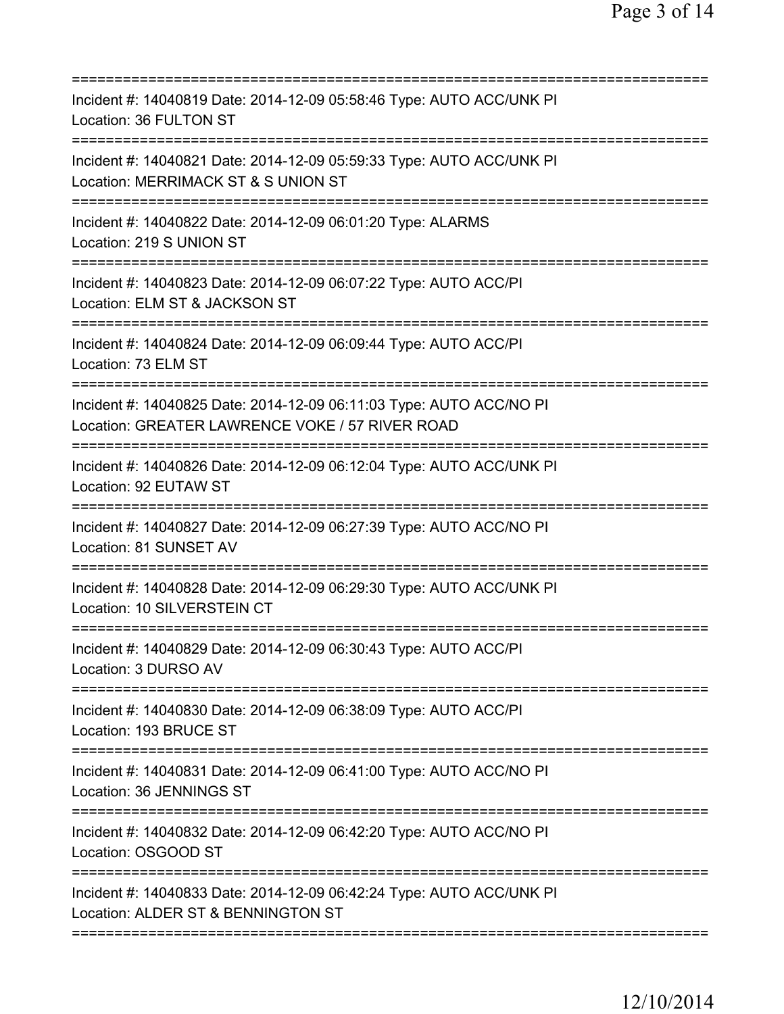| Incident #: 14040819 Date: 2014-12-09 05:58:46 Type: AUTO ACC/UNK PI<br>Location: 36 FULTON ST                                         |
|----------------------------------------------------------------------------------------------------------------------------------------|
| Incident #: 14040821 Date: 2014-12-09 05:59:33 Type: AUTO ACC/UNK PI<br>Location: MERRIMACK ST & S UNION ST<br>======================= |
| Incident #: 14040822 Date: 2014-12-09 06:01:20 Type: ALARMS<br>Location: 219 S UNION ST                                                |
| Incident #: 14040823 Date: 2014-12-09 06:07:22 Type: AUTO ACC/PI<br>Location: ELM ST & JACKSON ST                                      |
| Incident #: 14040824 Date: 2014-12-09 06:09:44 Type: AUTO ACC/PI<br>Location: 73 ELM ST                                                |
| Incident #: 14040825 Date: 2014-12-09 06:11:03 Type: AUTO ACC/NO PI<br>Location: GREATER LAWRENCE VOKE / 57 RIVER ROAD                 |
| Incident #: 14040826 Date: 2014-12-09 06:12:04 Type: AUTO ACC/UNK PI<br>Location: 92 EUTAW ST                                          |
| Incident #: 14040827 Date: 2014-12-09 06:27:39 Type: AUTO ACC/NO PI<br>Location: 81 SUNSET AV<br>====================                  |
| Incident #: 14040828 Date: 2014-12-09 06:29:30 Type: AUTO ACC/UNK PI<br>Location: 10 SILVERSTEIN CT                                    |
| Incident #: 14040829 Date: 2014-12-09 06:30:43 Type: AUTO ACC/PI<br>Location: 3 DURSO AV                                               |
| Incident #: 14040830 Date: 2014-12-09 06:38:09 Type: AUTO ACC/PI<br>Location: 193 BRUCE ST                                             |
| Incident #: 14040831 Date: 2014-12-09 06:41:00 Type: AUTO ACC/NO PI<br>Location: 36 JENNINGS ST                                        |
| Incident #: 14040832 Date: 2014-12-09 06:42:20 Type: AUTO ACC/NO PI<br>Location: OSGOOD ST                                             |
| Incident #: 14040833 Date: 2014-12-09 06:42:24 Type: AUTO ACC/UNK PI<br>Location: ALDER ST & BENNINGTON ST                             |
|                                                                                                                                        |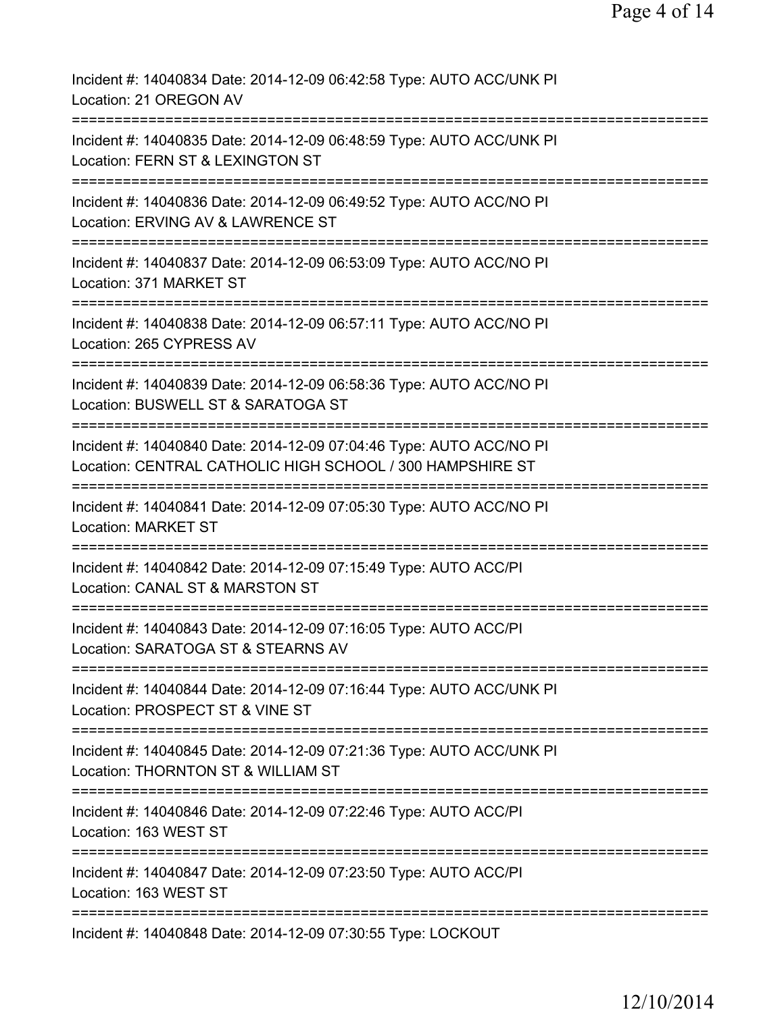| Incident #: 14040834 Date: 2014-12-09 06:42:58 Type: AUTO ACC/UNK PI<br>Location: 21 OREGON AV                                       |
|--------------------------------------------------------------------------------------------------------------------------------------|
| Incident #: 14040835 Date: 2014-12-09 06:48:59 Type: AUTO ACC/UNK PI<br>Location: FERN ST & LEXINGTON ST                             |
| Incident #: 14040836 Date: 2014-12-09 06:49:52 Type: AUTO ACC/NO PI<br>Location: ERVING AV & LAWRENCE ST                             |
| Incident #: 14040837 Date: 2014-12-09 06:53:09 Type: AUTO ACC/NO PI<br>Location: 371 MARKET ST                                       |
| Incident #: 14040838 Date: 2014-12-09 06:57:11 Type: AUTO ACC/NO PI<br>Location: 265 CYPRESS AV                                      |
| Incident #: 14040839 Date: 2014-12-09 06:58:36 Type: AUTO ACC/NO PI<br>Location: BUSWELL ST & SARATOGA ST                            |
| Incident #: 14040840 Date: 2014-12-09 07:04:46 Type: AUTO ACC/NO PI<br>Location: CENTRAL CATHOLIC HIGH SCHOOL / 300 HAMPSHIRE ST     |
| Incident #: 14040841 Date: 2014-12-09 07:05:30 Type: AUTO ACC/NO PI<br><b>Location: MARKET ST</b>                                    |
| =============================<br>Incident #: 14040842 Date: 2014-12-09 07:15:49 Type: AUTO ACC/PI<br>Location: CANAL ST & MARSTON ST |
| Incident #: 14040843 Date: 2014-12-09 07:16:05 Type: AUTO ACC/PI<br>Location: SARATOGA ST & STEARNS AV                               |
| Incident #: 14040844 Date: 2014-12-09 07:16:44 Type: AUTO ACC/UNK PI<br>Location: PROSPECT ST & VINE ST                              |
| Incident #: 14040845 Date: 2014-12-09 07:21:36 Type: AUTO ACC/UNK PI<br>Location: THORNTON ST & WILLIAM ST                           |
| Incident #: 14040846 Date: 2014-12-09 07:22:46 Type: AUTO ACC/PI<br>Location: 163 WEST ST                                            |
| Incident #: 14040847 Date: 2014-12-09 07:23:50 Type: AUTO ACC/PI<br>Location: 163 WEST ST                                            |
| Incident #: 14040848 Date: 2014-12-09 07:30:55 Type: LOCKOUT                                                                         |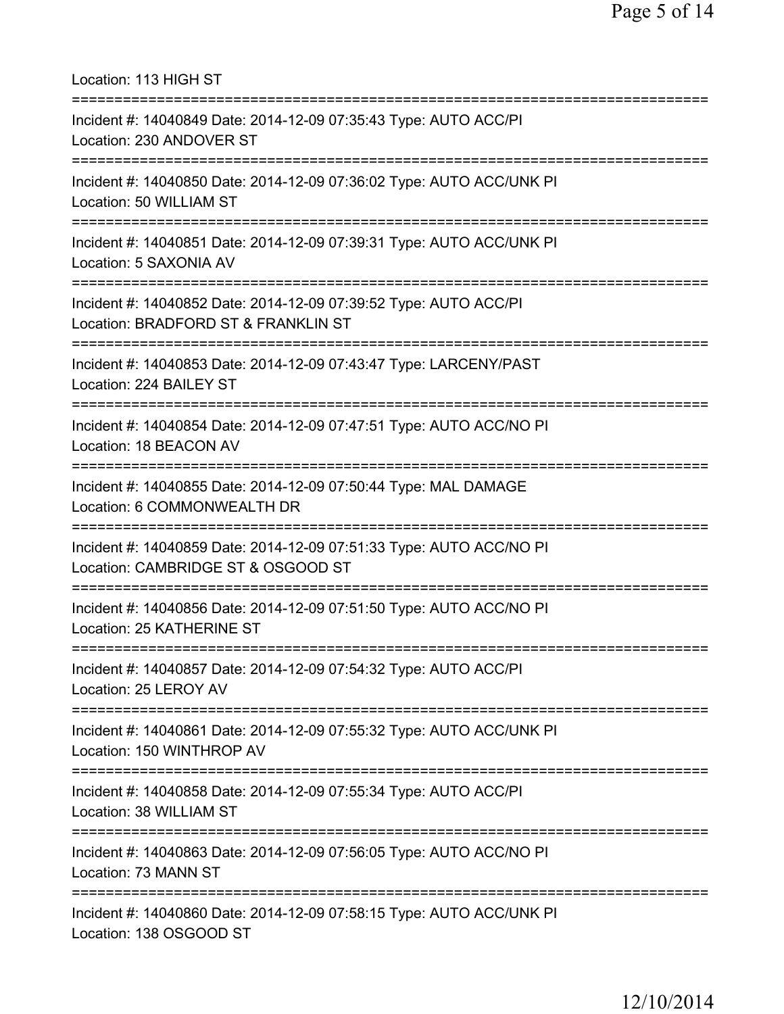Location: 113 HIGH ST =========================================================================== Incident #: 14040849 Date: 2014-12-09 07:35:43 Type: AUTO ACC/PI Location: 230 ANDOVER ST =========================================================================== Incident #: 14040850 Date: 2014-12-09 07:36:02 Type: AUTO ACC/UNK PI Location: 50 WILLIAM ST =========================================================================== Incident #: 14040851 Date: 2014-12-09 07:39:31 Type: AUTO ACC/UNK PI Location: 5 SAXONIA AV =========================================================================== Incident #: 14040852 Date: 2014-12-09 07:39:52 Type: AUTO ACC/PI Location: BRADFORD ST & FRANKLIN ST =========================================================================== Incident #: 14040853 Date: 2014-12-09 07:43:47 Type: LARCENY/PAST Location: 224 BAILEY ST =========================================================================== Incident #: 14040854 Date: 2014-12-09 07:47:51 Type: AUTO ACC/NO PI Location: 18 BEACON AV =========================================================================== Incident #: 14040855 Date: 2014-12-09 07:50:44 Type: MAL DAMAGE Location: 6 COMMONWEALTH DR =========================================================================== Incident #: 14040859 Date: 2014-12-09 07:51:33 Type: AUTO ACC/NO PI Location: CAMBRIDGE ST & OSGOOD ST =========================================================================== Incident #: 14040856 Date: 2014-12-09 07:51:50 Type: AUTO ACC/NO PI Location: 25 KATHERINE ST =========================================================================== Incident #: 14040857 Date: 2014-12-09 07:54:32 Type: AUTO ACC/PI Location: 25 LEROY AV =========================================================================== Incident #: 14040861 Date: 2014-12-09 07:55:32 Type: AUTO ACC/UNK PI Location: 150 WINTHROP AV =========================================================================== Incident #: 14040858 Date: 2014-12-09 07:55:34 Type: AUTO ACC/PI Location: 38 WILLIAM ST =========================================================================== Incident #: 14040863 Date: 2014-12-09 07:56:05 Type: AUTO ACC/NO PI Location: 73 MANN ST =========================================================================== Incident #: 14040860 Date: 2014-12-09 07:58:15 Type: AUTO ACC/UNK PI Location: 138 OSGOOD ST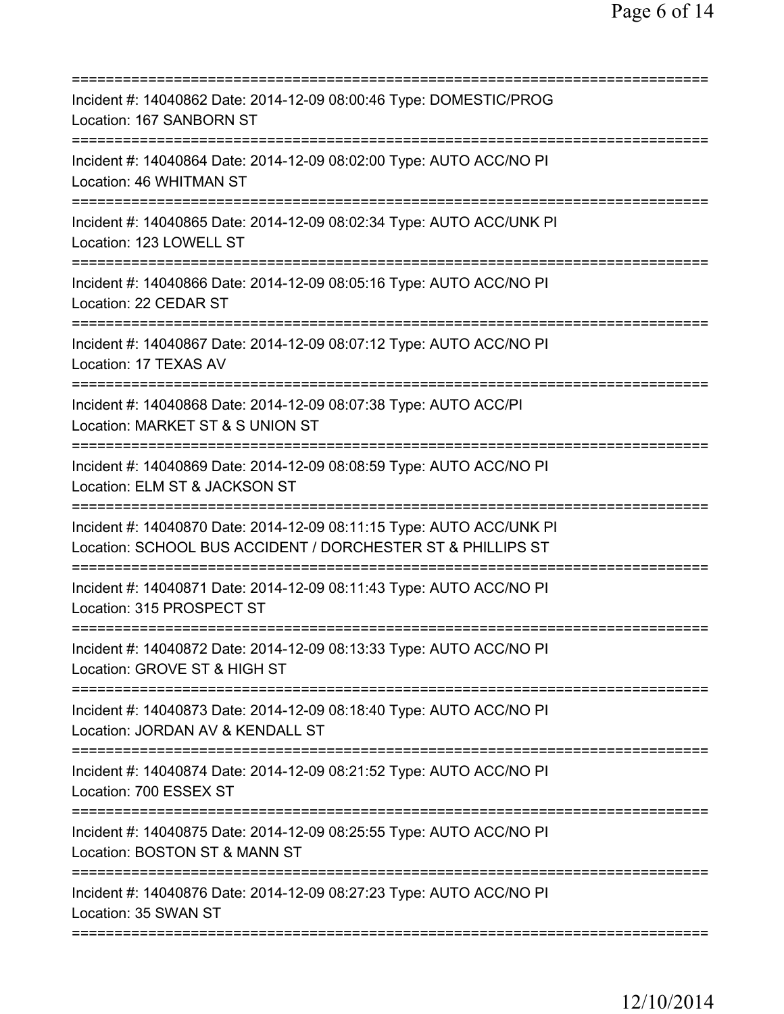| Incident #: 14040862 Date: 2014-12-09 08:00:46 Type: DOMESTIC/PROG<br>Location: 167 SANBORN ST<br>====================                                                |
|-----------------------------------------------------------------------------------------------------------------------------------------------------------------------|
| Incident #: 14040864 Date: 2014-12-09 08:02:00 Type: AUTO ACC/NO PI<br>Location: 46 WHITMAN ST                                                                        |
| Incident #: 14040865 Date: 2014-12-09 08:02:34 Type: AUTO ACC/UNK PI<br>Location: 123 LOWELL ST                                                                       |
| Incident #: 14040866 Date: 2014-12-09 08:05:16 Type: AUTO ACC/NO PI<br>Location: 22 CEDAR ST                                                                          |
| Incident #: 14040867 Date: 2014-12-09 08:07:12 Type: AUTO ACC/NO PI<br>Location: 17 TEXAS AV                                                                          |
| Incident #: 14040868 Date: 2014-12-09 08:07:38 Type: AUTO ACC/PI<br>Location: MARKET ST & S UNION ST                                                                  |
| Incident #: 14040869 Date: 2014-12-09 08:08:59 Type: AUTO ACC/NO PI<br>Location: ELM ST & JACKSON ST                                                                  |
| Incident #: 14040870 Date: 2014-12-09 08:11:15 Type: AUTO ACC/UNK PI<br>Location: SCHOOL BUS ACCIDENT / DORCHESTER ST & PHILLIPS ST<br>:============================= |
| Incident #: 14040871 Date: 2014-12-09 08:11:43 Type: AUTO ACC/NO PI<br>Location: 315 PROSPECT ST                                                                      |
| Incident #: 14040872 Date: 2014-12-09 08:13:33 Type: AUTO ACC/NO PI<br>Location: GROVE ST & HIGH ST                                                                   |
| Incident #: 14040873 Date: 2014-12-09 08:18:40 Type: AUTO ACC/NO PI<br>Location: JORDAN AV & KENDALL ST                                                               |
| Incident #: 14040874 Date: 2014-12-09 08:21:52 Type: AUTO ACC/NO PI<br>Location: 700 ESSEX ST                                                                         |
| Incident #: 14040875 Date: 2014-12-09 08:25:55 Type: AUTO ACC/NO PI<br>Location: BOSTON ST & MANN ST                                                                  |
| Incident #: 14040876 Date: 2014-12-09 08:27:23 Type: AUTO ACC/NO PI<br>Location: 35 SWAN ST                                                                           |
|                                                                                                                                                                       |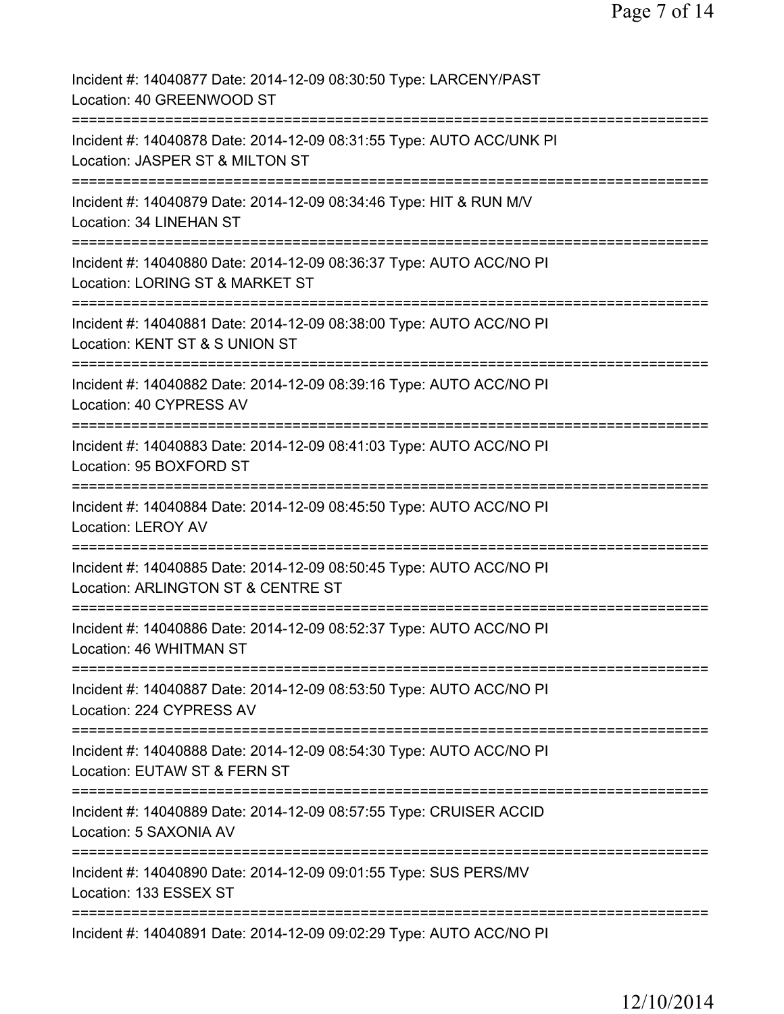| Incident #: 14040877 Date: 2014-12-09 08:30:50 Type: LARCENY/PAST<br>Location: 40 GREENWOOD ST                                            |
|-------------------------------------------------------------------------------------------------------------------------------------------|
| Incident #: 14040878 Date: 2014-12-09 08:31:55 Type: AUTO ACC/UNK PI<br>Location: JASPER ST & MILTON ST                                   |
| Incident #: 14040879 Date: 2014-12-09 08:34:46 Type: HIT & RUN M/V<br>Location: 34 LINEHAN ST                                             |
| Incident #: 14040880 Date: 2014-12-09 08:36:37 Type: AUTO ACC/NO PI<br>Location: LORING ST & MARKET ST                                    |
| Incident #: 14040881 Date: 2014-12-09 08:38:00 Type: AUTO ACC/NO PI<br>Location: KENT ST & S UNION ST                                     |
| Incident #: 14040882 Date: 2014-12-09 08:39:16 Type: AUTO ACC/NO PI<br>Location: 40 CYPRESS AV                                            |
| Incident #: 14040883 Date: 2014-12-09 08:41:03 Type: AUTO ACC/NO PI<br>Location: 95 BOXFORD ST                                            |
| Incident #: 14040884 Date: 2014-12-09 08:45:50 Type: AUTO ACC/NO PI<br><b>Location: LEROY AV</b><br>===================================== |
| Incident #: 14040885 Date: 2014-12-09 08:50:45 Type: AUTO ACC/NO PI<br>Location: ARLINGTON ST & CENTRE ST                                 |
| Incident #: 14040886 Date: 2014-12-09 08:52:37 Type: AUTO ACC/NO PI<br>Location: 46 WHITMAN ST                                            |
| Incident #: 14040887 Date: 2014-12-09 08:53:50 Type: AUTO ACC/NO PI<br>Location: 224 CYPRESS AV                                           |
| Incident #: 14040888 Date: 2014-12-09 08:54:30 Type: AUTO ACC/NO PI<br>Location: EUTAW ST & FERN ST                                       |
| Incident #: 14040889 Date: 2014-12-09 08:57:55 Type: CRUISER ACCID<br>Location: 5 SAXONIA AV                                              |
| Incident #: 14040890 Date: 2014-12-09 09:01:55 Type: SUS PERS/MV<br>Location: 133 ESSEX ST                                                |
| Incident #: 14040891 Date: 2014-12-09 09:02:29 Type: AUTO ACC/NO PI                                                                       |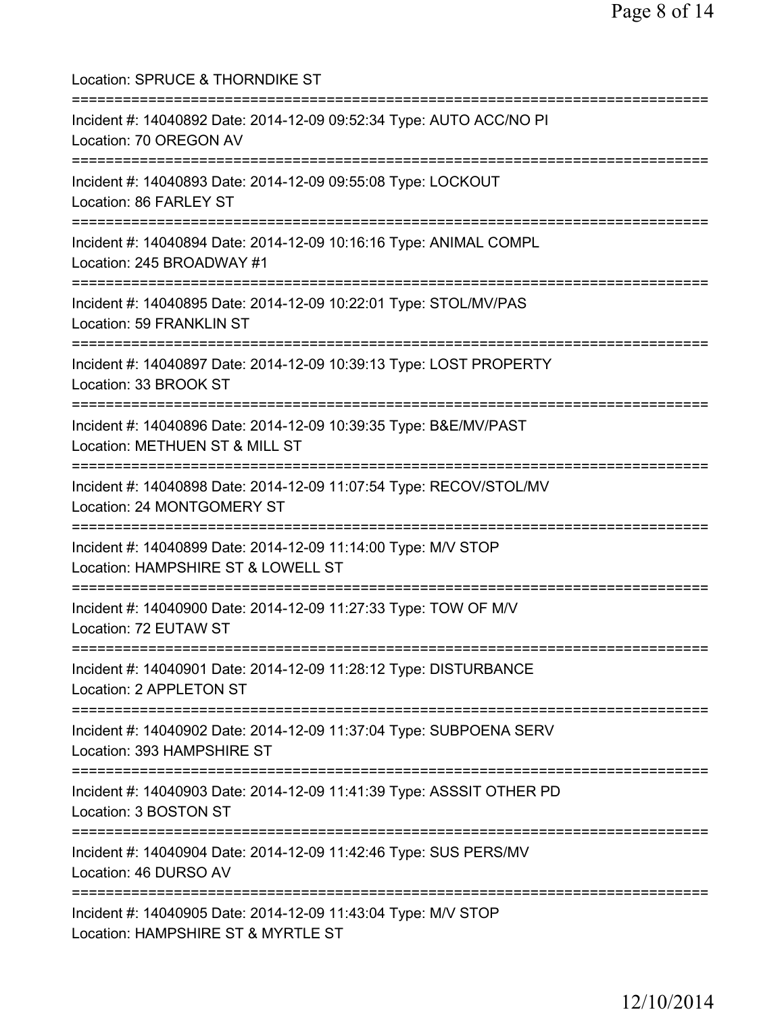Location: SPRUCE & THORNDIKE ST =========================================================================== Incident #: 14040892 Date: 2014-12-09 09:52:34 Type: AUTO ACC/NO PI Location: 70 OREGON AV =========================================================================== Incident #: 14040893 Date: 2014-12-09 09:55:08 Type: LOCKOUT Location: 86 FARLEY ST =========================================================================== Incident #: 14040894 Date: 2014-12-09 10:16:16 Type: ANIMAL COMPL Location: 245 BROADWAY #1 =========================================================================== Incident #: 14040895 Date: 2014-12-09 10:22:01 Type: STOL/MV/PAS Location: 59 FRANKLIN ST =========================================================================== Incident #: 14040897 Date: 2014-12-09 10:39:13 Type: LOST PROPERTY Location: 33 BROOK ST =========================================================================== Incident #: 14040896 Date: 2014-12-09 10:39:35 Type: B&E/MV/PAST Location: METHUEN ST & MILL ST =========================================================================== Incident #: 14040898 Date: 2014-12-09 11:07:54 Type: RECOV/STOL/MV Location: 24 MONTGOMERY ST =========================================================================== Incident #: 14040899 Date: 2014-12-09 11:14:00 Type: M/V STOP Location: HAMPSHIRE ST & LOWELL ST =========================================================================== Incident #: 14040900 Date: 2014-12-09 11:27:33 Type: TOW OF M/V Location: 72 EUTAW ST =========================================================================== Incident #: 14040901 Date: 2014-12-09 11:28:12 Type: DISTURBANCE Location: 2 APPLETON ST =========================================================================== Incident #: 14040902 Date: 2014-12-09 11:37:04 Type: SUBPOENA SERV Location: 393 HAMPSHIRE ST =========================================================================== Incident #: 14040903 Date: 2014-12-09 11:41:39 Type: ASSSIT OTHER PD Location: 3 BOSTON ST =========================================================================== Incident #: 14040904 Date: 2014-12-09 11:42:46 Type: SUS PERS/MV Location: 46 DURSO AV =========================================================================== Incident #: 14040905 Date: 2014-12-09 11:43:04 Type: M/V STOP Location: HAMPSHIRE ST & MYRTLE ST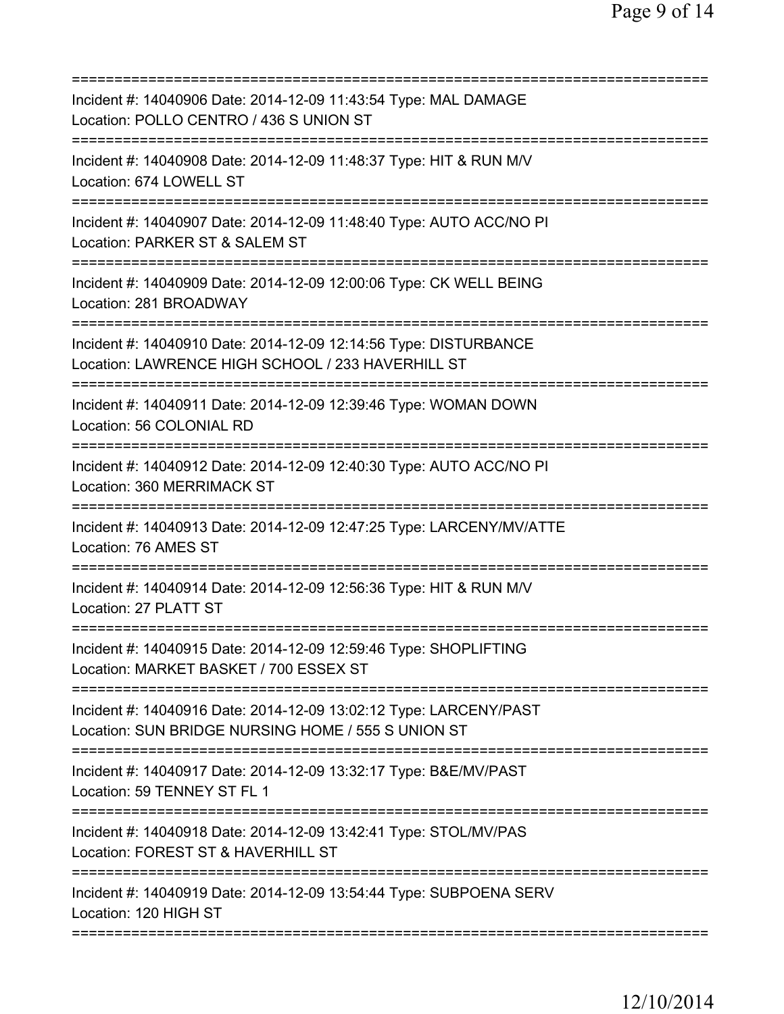| Incident #: 14040906 Date: 2014-12-09 11:43:54 Type: MAL DAMAGE<br>Location: POLLO CENTRO / 436 S UNION ST                                                     |
|----------------------------------------------------------------------------------------------------------------------------------------------------------------|
| Incident #: 14040908 Date: 2014-12-09 11:48:37 Type: HIT & RUN M/V<br>Location: 674 LOWELL ST                                                                  |
| Incident #: 14040907 Date: 2014-12-09 11:48:40 Type: AUTO ACC/NO PI<br>Location: PARKER ST & SALEM ST                                                          |
| Incident #: 14040909 Date: 2014-12-09 12:00:06 Type: CK WELL BEING<br>Location: 281 BROADWAY                                                                   |
| Incident #: 14040910 Date: 2014-12-09 12:14:56 Type: DISTURBANCE<br>Location: LAWRENCE HIGH SCHOOL / 233 HAVERHILL ST                                          |
| ==========================<br>Incident #: 14040911 Date: 2014-12-09 12:39:46 Type: WOMAN DOWN<br>Location: 56 COLONIAL RD                                      |
| Incident #: 14040912 Date: 2014-12-09 12:40:30 Type: AUTO ACC/NO PI<br>Location: 360 MERRIMACK ST                                                              |
| Incident #: 14040913 Date: 2014-12-09 12:47:25 Type: LARCENY/MV/ATTE<br>Location: 76 AMES ST                                                                   |
| Incident #: 14040914 Date: 2014-12-09 12:56:36 Type: HIT & RUN M/V<br>Location: 27 PLATT ST                                                                    |
| Incident #: 14040915 Date: 2014-12-09 12:59:46 Type: SHOPLIFTING<br>Location: MARKET BASKET / 700 ESSEX ST                                                     |
| ;==================================<br>Incident #: 14040916 Date: 2014-12-09 13:02:12 Type: LARCENY/PAST<br>Location: SUN BRIDGE NURSING HOME / 555 S UNION ST |
| Incident #: 14040917 Date: 2014-12-09 13:32:17 Type: B&E/MV/PAST<br>Location: 59 TENNEY ST FL 1                                                                |
| Incident #: 14040918 Date: 2014-12-09 13:42:41 Type: STOL/MV/PAS<br>Location: FOREST ST & HAVERHILL ST                                                         |
| Incident #: 14040919 Date: 2014-12-09 13:54:44 Type: SUBPOENA SERV<br>Location: 120 HIGH ST                                                                    |
|                                                                                                                                                                |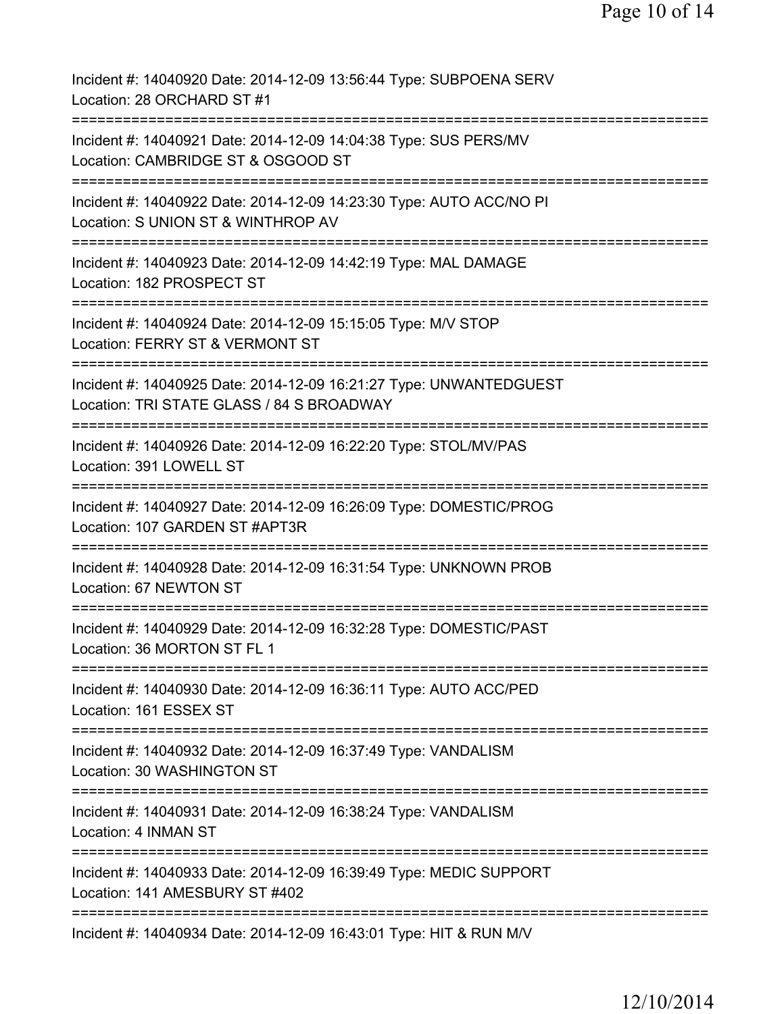Incident #: 14040920 Date: 2014-12-09 13:56:44 Type: SUBPOENA SERV Location: 28 ORCHARD ST #1 =========================================================================== Incident #: 14040921 Date: 2014-12-09 14:04:38 Type: SUS PERS/MV Location: CAMBRIDGE ST & OSGOOD ST =========================================================================== Incident #: 14040922 Date: 2014-12-09 14:23:30 Type: AUTO ACC/NO PI Location: S UNION ST & WINTHROP AV =========================================================================== Incident #: 14040923 Date: 2014-12-09 14:42:19 Type: MAL DAMAGE Location: 182 PROSPECT ST =========================================================================== Incident #: 14040924 Date: 2014-12-09 15:15:05 Type: M/V STOP Location: FERRY ST & VERMONT ST =========================================================================== Incident #: 14040925 Date: 2014-12-09 16:21:27 Type: UNWANTEDGUEST Location: TRI STATE GLASS / 84 S BROADWAY =========================================================================== Incident #: 14040926 Date: 2014-12-09 16:22:20 Type: STOL/MV/PAS Location: 391 LOWELL ST =========================================================================== Incident #: 14040927 Date: 2014-12-09 16:26:09 Type: DOMESTIC/PROG Location: 107 GARDEN ST #APT3R =========================================================================== Incident #: 14040928 Date: 2014-12-09 16:31:54 Type: UNKNOWN PROB Location: 67 NEWTON ST =========================================================================== Incident #: 14040929 Date: 2014-12-09 16:32:28 Type: DOMESTIC/PAST Location: 36 MORTON ST FL 1 =========================================================================== Incident #: 14040930 Date: 2014-12-09 16:36:11 Type: AUTO ACC/PED Location: 161 ESSEX ST =========================================================================== Incident #: 14040932 Date: 2014-12-09 16:37:49 Type: VANDALISM Location: 30 WASHINGTON ST =========================================================================== Incident #: 14040931 Date: 2014-12-09 16:38:24 Type: VANDALISM Location: 4 INMAN ST =========================================================================== Incident #: 14040933 Date: 2014-12-09 16:39:49 Type: MEDIC SUPPORT Location: 141 AMESBURY ST #402 =========================================================================== Incident #: 14040934 Date: 2014-12-09 16:43:01 Type: HIT & RUN M/V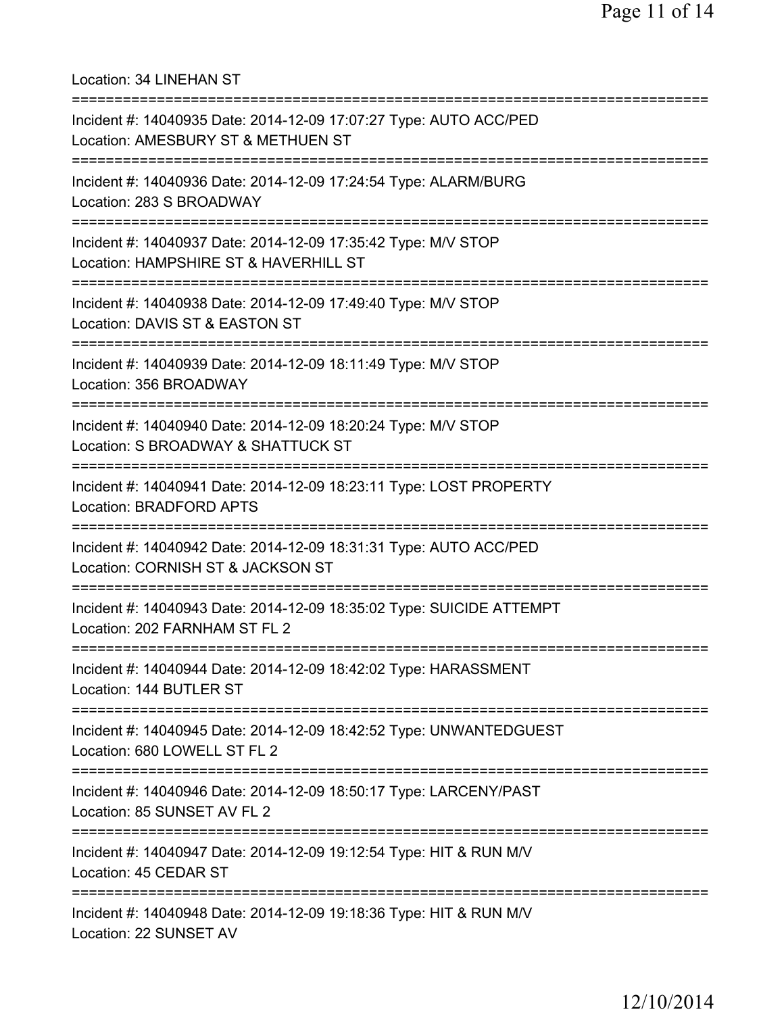Location: 34 LINEHAN ST =========================================================================== Incident #: 14040935 Date: 2014-12-09 17:07:27 Type: AUTO ACC/PED Location: AMESBURY ST & METHUEN ST =========================================================================== Incident #: 14040936 Date: 2014-12-09 17:24:54 Type: ALARM/BURG Location: 283 S BROADWAY =========================================================================== Incident #: 14040937 Date: 2014-12-09 17:35:42 Type: M/V STOP Location: HAMPSHIRE ST & HAVERHILL ST =========================================================================== Incident #: 14040938 Date: 2014-12-09 17:49:40 Type: M/V STOP Location: DAVIS ST & EASTON ST =========================================================================== Incident #: 14040939 Date: 2014-12-09 18:11:49 Type: M/V STOP Location: 356 BROADWAY =========================================================================== Incident #: 14040940 Date: 2014-12-09 18:20:24 Type: M/V STOP Location: S BROADWAY & SHATTUCK ST =========================================================================== Incident #: 14040941 Date: 2014-12-09 18:23:11 Type: LOST PROPERTY Location: BRADFORD APTS =========================================================================== Incident #: 14040942 Date: 2014-12-09 18:31:31 Type: AUTO ACC/PED Location: CORNISH ST & JACKSON ST =========================================================================== Incident #: 14040943 Date: 2014-12-09 18:35:02 Type: SUICIDE ATTEMPT Location: 202 FARNHAM ST FL 2 =========================================================================== Incident #: 14040944 Date: 2014-12-09 18:42:02 Type: HARASSMENT Location: 144 BUTLER ST =========================================================================== Incident #: 14040945 Date: 2014-12-09 18:42:52 Type: UNWANTEDGUEST Location: 680 LOWELL ST FL 2 =========================================================================== Incident #: 14040946 Date: 2014-12-09 18:50:17 Type: LARCENY/PAST Location: 85 SUNSET AV FL 2 =========================================================================== Incident #: 14040947 Date: 2014-12-09 19:12:54 Type: HIT & RUN M/V Location: 45 CEDAR ST =========================================================================== Incident #: 14040948 Date: 2014-12-09 19:18:36 Type: HIT & RUN M/V Location: 22 SUNSET AV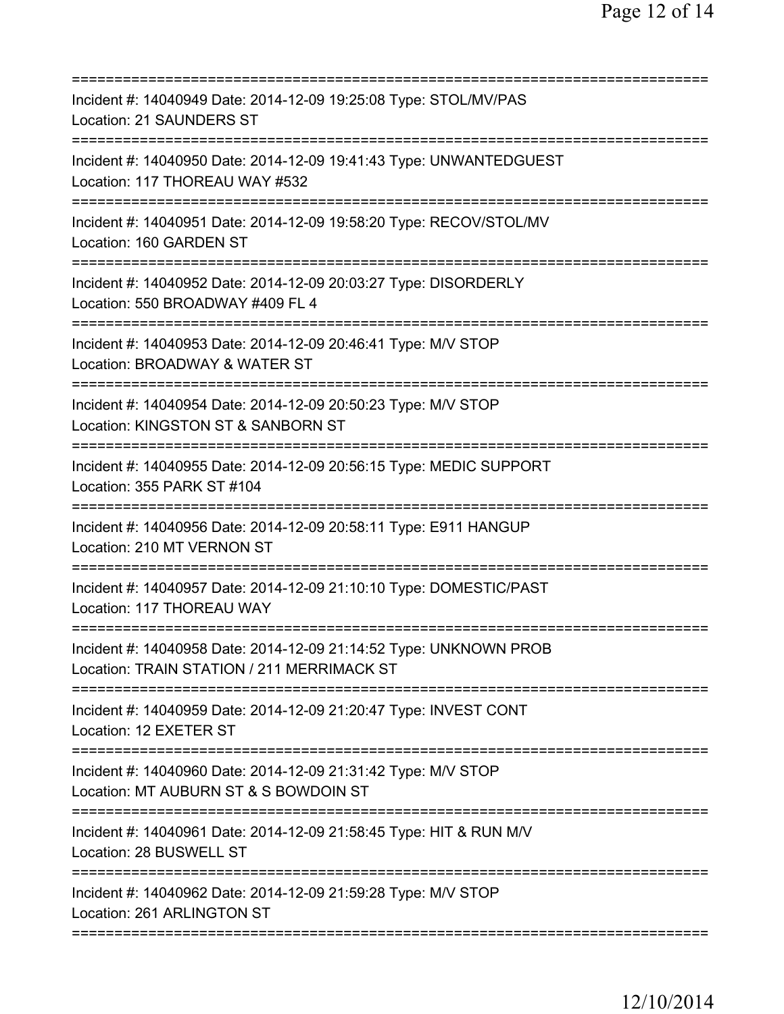| Incident #: 14040949 Date: 2014-12-09 19:25:08 Type: STOL/MV/PAS<br>Location: 21 SAUNDERS ST                                       |
|------------------------------------------------------------------------------------------------------------------------------------|
| Incident #: 14040950 Date: 2014-12-09 19:41:43 Type: UNWANTEDGUEST<br>Location: 117 THOREAU WAY #532                               |
| Incident #: 14040951 Date: 2014-12-09 19:58:20 Type: RECOV/STOL/MV<br>Location: 160 GARDEN ST                                      |
| Incident #: 14040952 Date: 2014-12-09 20:03:27 Type: DISORDERLY<br>Location: 550 BROADWAY #409 FL 4<br>=========================== |
| Incident #: 14040953 Date: 2014-12-09 20:46:41 Type: M/V STOP<br>Location: BROADWAY & WATER ST                                     |
| ========================<br>Incident #: 14040954 Date: 2014-12-09 20:50:23 Type: M/V STOP<br>Location: KINGSTON ST & SANBORN ST    |
| Incident #: 14040955 Date: 2014-12-09 20:56:15 Type: MEDIC SUPPORT<br>Location: 355 PARK ST #104                                   |
| Incident #: 14040956 Date: 2014-12-09 20:58:11 Type: E911 HANGUP<br>Location: 210 MT VERNON ST                                     |
| Incident #: 14040957 Date: 2014-12-09 21:10:10 Type: DOMESTIC/PAST<br>Location: 117 THOREAU WAY                                    |
| Incident #: 14040958 Date: 2014-12-09 21:14:52 Type: UNKNOWN PROB<br>Location: TRAIN STATION / 211 MERRIMACK ST                    |
| Incident #: 14040959 Date: 2014-12-09 21:20:47 Type: INVEST CONT<br>Location: 12 EXETER ST                                         |
| Incident #: 14040960 Date: 2014-12-09 21:31:42 Type: M/V STOP<br>Location: MT AUBURN ST & S BOWDOIN ST                             |
| Incident #: 14040961 Date: 2014-12-09 21:58:45 Type: HIT & RUN M/V<br>Location: 28 BUSWELL ST                                      |
| Incident #: 14040962 Date: 2014-12-09 21:59:28 Type: M/V STOP<br>Location: 261 ARLINGTON ST                                        |
|                                                                                                                                    |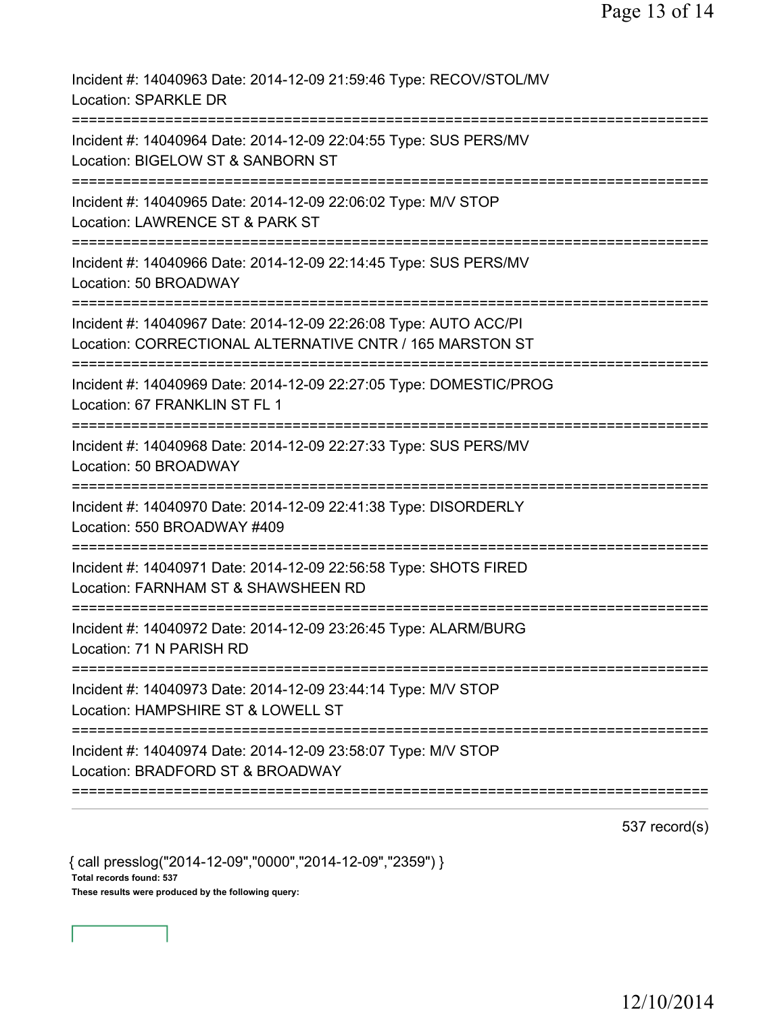| Incident #: 14040963 Date: 2014-12-09 21:59:46 Type: RECOV/STOL/MV<br><b>Location: SPARKLE DR</b>                            |
|------------------------------------------------------------------------------------------------------------------------------|
| Incident #: 14040964 Date: 2014-12-09 22:04:55 Type: SUS PERS/MV<br>Location: BIGELOW ST & SANBORN ST                        |
| Incident #: 14040965 Date: 2014-12-09 22:06:02 Type: M/V STOP<br>Location: LAWRENCE ST & PARK ST                             |
| Incident #: 14040966 Date: 2014-12-09 22:14:45 Type: SUS PERS/MV<br>Location: 50 BROADWAY                                    |
| Incident #: 14040967 Date: 2014-12-09 22:26:08 Type: AUTO ACC/PI<br>Location: CORRECTIONAL ALTERNATIVE CNTR / 165 MARSTON ST |
| Incident #: 14040969 Date: 2014-12-09 22:27:05 Type: DOMESTIC/PROG<br>Location: 67 FRANKLIN ST FL 1                          |
| Incident #: 14040968 Date: 2014-12-09 22:27:33 Type: SUS PERS/MV<br>Location: 50 BROADWAY                                    |
| Incident #: 14040970 Date: 2014-12-09 22:41:38 Type: DISORDERLY<br>Location: 550 BROADWAY #409                               |
| Incident #: 14040971 Date: 2014-12-09 22:56:58 Type: SHOTS FIRED<br>Location: FARNHAM ST & SHAWSHEEN RD                      |
| Incident #: 14040972 Date: 2014-12-09 23:26:45 Type: ALARM/BURG<br>Location: 71 N PARISH RD                                  |
| Incident #: 14040973 Date: 2014-12-09 23:44:14 Type: M/V STOP<br>Location: HAMPSHIRE ST & LOWELL ST                          |
| Incident #: 14040974 Date: 2014-12-09 23:58:07 Type: M/V STOP<br>Location: BRADFORD ST & BROADWAY                            |
|                                                                                                                              |

537 record(s)

{ call presslog("2014-12-09","0000","2014-12-09","2359") } Total records found: 537 These results were produced by the following query: